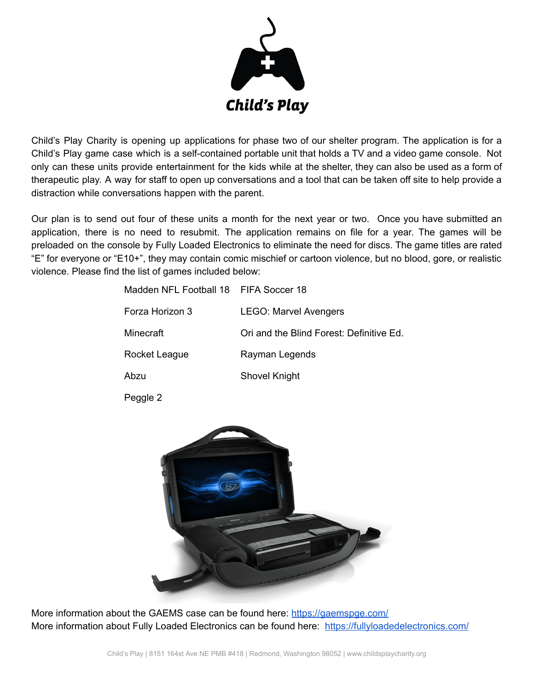

Child's Play Charity is opening up applications for phase two of our shelter program. The application is for a Child's Play game case which is a self-contained portable unit that holds a TV and a video game console. Not only can these units provide entertainment for the kids while at the shelter, they can also be used as a form of therapeutic play. A way for staff to open up conversations and a tool that can be taken off site to help provide a distraction while conversations happen with the parent.

Our plan is to send out four of these units a month for the next year or two. Once you have submitted an application, there is no need to resubmit. The application remains on file for a year. The games will be preloaded on the console by Fully Loaded Electronics to eliminate the need for discs. The game titles are rated "E" for everyone or "E10+", they may contain comic mischief or cartoon violence, but no blood, gore, or realistic violence. Please find the list of games included below:

| Madden NFL Football 18 FIFA Soccer 18 |                                          |
|---------------------------------------|------------------------------------------|
| Forza Horizon 3                       | <b>LEGO: Marvel Avengers</b>             |
| Minecraft                             | Ori and the Blind Forest: Definitive Ed. |
| Rocket League                         | Rayman Legends                           |
| Abzu                                  | <b>Shovel Knight</b>                     |
|                                       |                                          |

Peggle 2



More information about the GAEMS case can be found here:<https://gaemspge.com/> More information about Fully Loaded Electronics can be found here: <https://fullyloadedelectronics.com/>